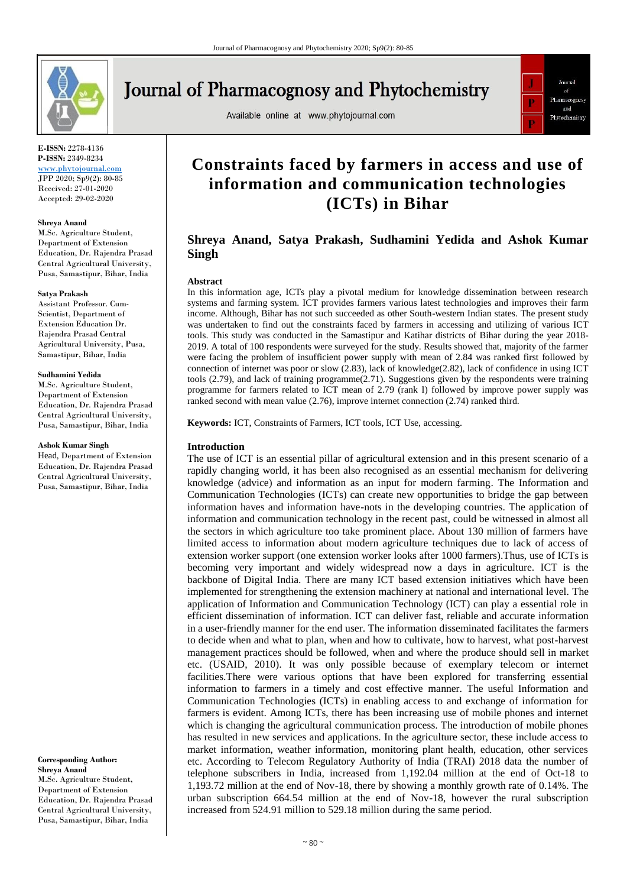

# **Journal of Pharmacognosy and Phytochemistry**

Available online at www.phytojournal.com



**E-ISSN:** 2278-4136 **P-ISSN:** 2349-8234

<www.phytojournal.com> JPP 2020; Sp9(2): 80-85 Received: 27-01-2020 Accepted: 29-02-2020

#### **Shreya Anand**

M.Sc. Agriculture Student, Department of Extension Education, Dr. Rajendra Prasad Central Agricultural University, Pusa, Samastipur, Bihar, India

#### **Satya Prakash**

Assistant Professor. Cum-Scientist, Department of Extension Education Dr. Rajendra Prasad Central Agricultural University, Pusa, Samastipur, Bihar, India

#### **Sudhamini Yedida**

M.Sc. Agriculture Student, Department of Extension Education, Dr. Rajendra Prasad Central Agricultural University, Pusa, Samastipur, Bihar, India

#### **Ashok Kumar Singh**

Head, Department of Extension Education, Dr. Rajendra Prasad Central Agricultural University, Pusa, Samastipur, Bihar, India

**Corresponding Author: Shreya Anand** M.Sc. Agriculture Student, Department of Extension Education, Dr. Rajendra Prasad Central Agricultural University, Pusa, Samastipur, Bihar, India

## **Constraints faced by farmers in access and use of information and communication technologies (ICTs) in Bihar**

## **Shreya Anand, Satya Prakash, Sudhamini Yedida and Ashok Kumar Singh**

#### **Abstract**

In this information age, ICTs play a pivotal medium for knowledge dissemination between research systems and farming system. ICT provides farmers various latest technologies and improves their farm income. Although, Bihar has not such succeeded as other South-western Indian states. The present study was undertaken to find out the constraints faced by farmers in accessing and utilizing of various ICT tools. This study was conducted in the Samastipur and Katihar districts of Bihar during the year 2018- 2019. A total of 100 respondents were surveyed for the study. Results showed that, majority of the farmer were facing the problem of insufficient power supply with mean of 2.84 was ranked first followed by connection of internet was poor or slow (2.83), lack of knowledge(2.82), lack of confidence in using ICT tools (2.79), and lack of training programme(2.71). Suggestions given by the respondents were training programme for farmers related to ICT mean of 2.79 (rank I) followed by improve power supply was ranked second with mean value (2.76), improve internet connection (2.74) ranked third.

**Keywords:** ICT, Constraints of Farmers, ICT tools, ICT Use, accessing.

#### **Introduction**

The use of ICT is an essential pillar of agricultural extension and in this present scenario of a rapidly changing world, it has been also recognised as an essential mechanism for delivering knowledge (advice) and information as an input for modern farming. The Information and Communication Technologies (ICTs) can create new opportunities to bridge the gap between information haves and information have-nots in the developing countries. The application of information and communication technology in the recent past, could be witnessed in almost all the sectors in which agriculture too take prominent place. About 130 million of farmers have limited access to information about modern agriculture techniques due to lack of access of extension worker support (one extension worker looks after 1000 farmers).Thus, use of ICTs is becoming very important and widely widespread now a days in agriculture. ICT is the backbone of Digital India. There are many ICT based extension initiatives which have been implemented for strengthening the extension machinery at national and international level. The application of Information and Communication Technology (ICT) can play a essential role in efficient dissemination of information. ICT can deliver fast, reliable and accurate information in a user-friendly manner for the end user. The information disseminated facilitates the farmers to decide when and what to plan, when and how to cultivate, how to harvest, what post-harvest management practices should be followed, when and where the produce should sell in market etc. (USAID, 2010). It was only possible because of exemplary telecom or internet facilities.There were various options that have been explored for transferring essential information to farmers in a timely and cost effective manner. The useful Information and Communication Technologies (ICTs) in enabling access to and exchange of information for farmers is evident. Among ICTs, there has been increasing use of mobile phones and internet which is changing the agricultural communication process. The introduction of mobile phones has resulted in new services and applications. In the agriculture sector, these include access to market information, weather information, monitoring plant health, education, other services etc. According to Telecom Regulatory Authority of India (TRAI) 2018 data the number of telephone subscribers in India, increased from 1,192.04 million at the end of Oct-18 to 1,193.72 million at the end of Nov-18, there by showing a monthly growth rate of 0.14%. The urban subscription 664.54 million at the end of Nov-18, however the rural subscription increased from 524.91 million to 529.18 million during the same period.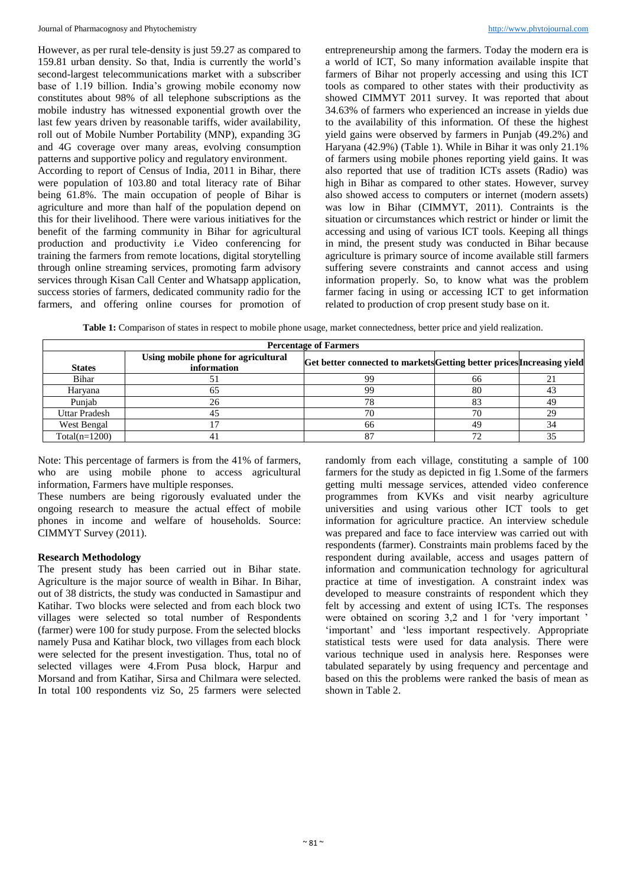However, as per rural tele-density is just 59.27 as compared to 159.81 urban density. So that, India is currently the world's second-largest telecommunications market with a subscriber base of 1.19 billion. India's growing mobile economy now constitutes about 98% of all telephone subscriptions as the mobile industry has witnessed exponential growth over the last few years driven by reasonable tariffs, wider availability, roll out of Mobile Number Portability (MNP), expanding 3G and 4G coverage over many areas, evolving consumption patterns and supportive policy and regulatory environment.

According to report of Census of India, 2011 in Bihar, there were population of 103.80 and total literacy rate of Bihar being 61.8%. The main occupation of people of Bihar is agriculture and more than half of the population depend on this for their livelihood. There were various initiatives for the benefit of the farming community in Bihar for agricultural production and productivity i.e Video conferencing for training the farmers from remote locations, digital storytelling through online streaming services, promoting farm advisory services through Kisan Call Center and Whatsapp application, success stories of farmers, dedicated community radio for the farmers, and offering online courses for promotion of entrepreneurship among the farmers. Today the modern era is a world of ICT, So many information available inspite that farmers of Bihar not properly accessing and using this ICT tools as compared to other states with their productivity as showed CIMMYT 2011 survey. It was reported that about 34.63% of farmers who experienced an increase in yields due to the availability of this information. Of these the highest yield gains were observed by farmers in Punjab (49.2%) and Haryana (42.9%) (Table 1). While in Bihar it was only 21.1% of farmers using mobile phones reporting yield gains. It was also reported that use of tradition ICTs assets (Radio) was high in Bihar as compared to other states. However, survey also showed access to computers or internet (modern assets) was low in Bihar (CIMMYT, 2011). Contraints is the situation or circumstances which restrict or hinder or limit the accessing and using of various ICT tools. Keeping all things in mind, the present study was conducted in Bihar because agriculture is primary source of income available still farmers suffering severe constraints and cannot access and using information properly. So, to know what was the problem farmer facing in using or accessing ICT to get information related to production of crop present study base on it.

**Table 1:** Comparison of states in respect to mobile phone usage, market connectedness, better price and yield realization.

| <b>Percentage of Farmers</b> |                                                    |                                                                        |    |    |  |  |  |
|------------------------------|----------------------------------------------------|------------------------------------------------------------------------|----|----|--|--|--|
| <b>States</b>                | Using mobile phone for agricultural<br>information | Get better connected to markets Getting better prices Increasing yield |    |    |  |  |  |
| Bihar                        |                                                    | oo                                                                     | nn |    |  |  |  |
| Haryana                      |                                                    | ററ                                                                     | 80 |    |  |  |  |
| Punjab                       |                                                    |                                                                        | 83 | 49 |  |  |  |
| Uttar Pradesh                |                                                    |                                                                        |    | 29 |  |  |  |
| West Bengal                  |                                                    | 66                                                                     | 49 |    |  |  |  |
| $Total(n=1200)$              |                                                    |                                                                        |    |    |  |  |  |

Note: This percentage of farmers is from the 41% of farmers, who are using mobile phone to access agricultural information, Farmers have multiple responses.

These numbers are being rigorously evaluated under the ongoing research to measure the actual effect of mobile phones in income and welfare of households. Source: CIMMYT Survey (2011).

## **Research Methodology**

The present study has been carried out in Bihar state. Agriculture is the major source of wealth in Bihar. In Bihar, out of 38 districts, the study was conducted in Samastipur and Katihar. Two blocks were selected and from each block two villages were selected so total number of Respondents (farmer) were 100 for study purpose. From the selected blocks namely Pusa and Katihar block, two villages from each block were selected for the present investigation. Thus, total no of selected villages were 4.From Pusa block, Harpur and Morsand and from Katihar, Sirsa and Chilmara were selected. In total 100 respondents viz So, 25 farmers were selected

randomly from each village, constituting a sample of 100 farmers for the study as depicted in fig 1.Some of the farmers getting multi message services, attended video conference programmes from KVKs and visit nearby agriculture universities and using various other ICT tools to get information for agriculture practice. An interview schedule was prepared and face to face interview was carried out with respondents (farmer). Constraints main problems faced by the respondent during available, access and usages pattern of information and communication technology for agricultural practice at time of investigation. A constraint index was developed to measure constraints of respondent which they felt by accessing and extent of using ICTs. The responses were obtained on scoring 3,2 and 1 for 'very important ' 'important' and 'less important respectively. Appropriate statistical tests were used for data analysis. There were various technique used in analysis here. Responses were tabulated separately by using frequency and percentage and based on this the problems were ranked the basis of mean as shown in Table 2.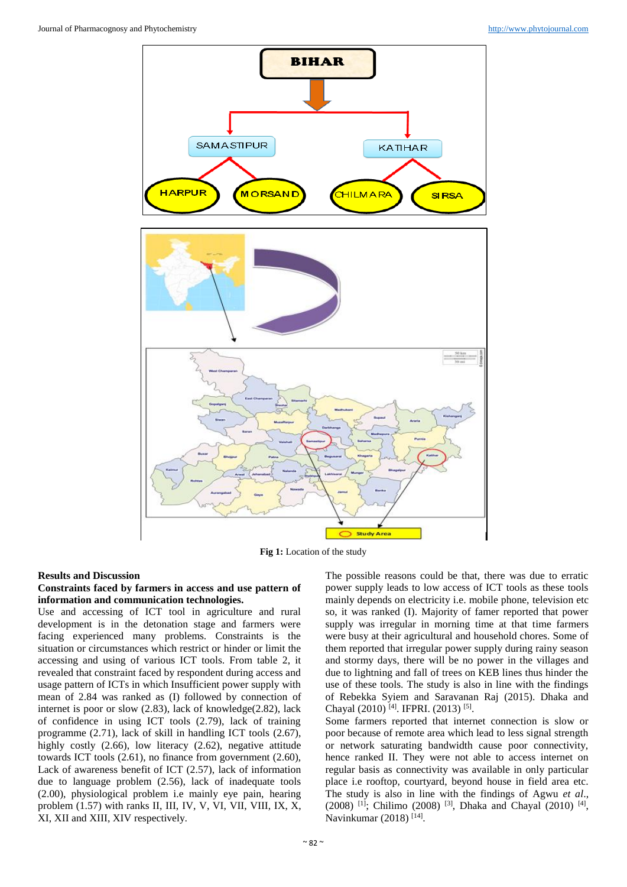

**Fig 1:** Location of the study

#### **Results and Discussion**

#### **Constraints faced by farmers in access and use pattern of information and communication technologies.**

Use and accessing of ICT tool in agriculture and rural development is in the detonation stage and farmers were facing experienced many problems. Constraints is the situation or circumstances which restrict or hinder or limit the accessing and using of various ICT tools. From table 2, it revealed that constraint faced by respondent during access and usage pattern of ICTs in which Insufficient power supply with mean of 2.84 was ranked as (I) followed by connection of internet is poor or slow (2.83), lack of knowledge(2.82), lack of confidence in using ICT tools (2.79), lack of training programme (2.71), lack of skill in handling ICT tools (2.67), highly costly (2.66), low literacy (2.62), negative attitude towards ICT tools (2.61), no finance from government (2.60), Lack of awareness benefit of ICT (2.57), lack of information due to language problem (2.56), lack of inadequate tools (2.00), physiological problem i.e mainly eye pain, hearing problem (1.57) with ranks II, III, IV, V, VI, VII, VIII, IX, X, XI, XII and XIII, XIV respectively.

The possible reasons could be that, there was due to erratic power supply leads to low access of ICT tools as these tools mainly depends on electricity i.e. mobile phone, television etc so, it was ranked (I). Majority of famer reported that power supply was irregular in morning time at that time farmers were busy at their agricultural and household chores. Some of them reported that irregular power supply during rainy season and stormy days, there will be no power in the villages and due to lightning and fall of trees on KEB lines thus hinder the use of these tools. The study is also in line with the findings of Rebekka Syiem and Saravanan Raj (2015). Dhaka and Chayal (2010)<sup>[4]</sup>. IFPRI. (2013)<sup>[5]</sup>.

Some farmers reported that internet connection is slow or poor because of remote area which lead to less signal strength or network saturating bandwidth cause poor connectivity, hence ranked II. They were not able to access internet on regular basis as connectivity was available in only particular place i.e rooftop, courtyard, beyond house in field area etc. The study is also in line with the findings of Agwu *et al*.,  $(2008)$  <sup>[1]</sup>; Chilimo (2008)<sup>[3]</sup>, Dhaka and Chayal (2010)<sup>[4]</sup>, Navinkumar (2018)<sup>[14]</sup>.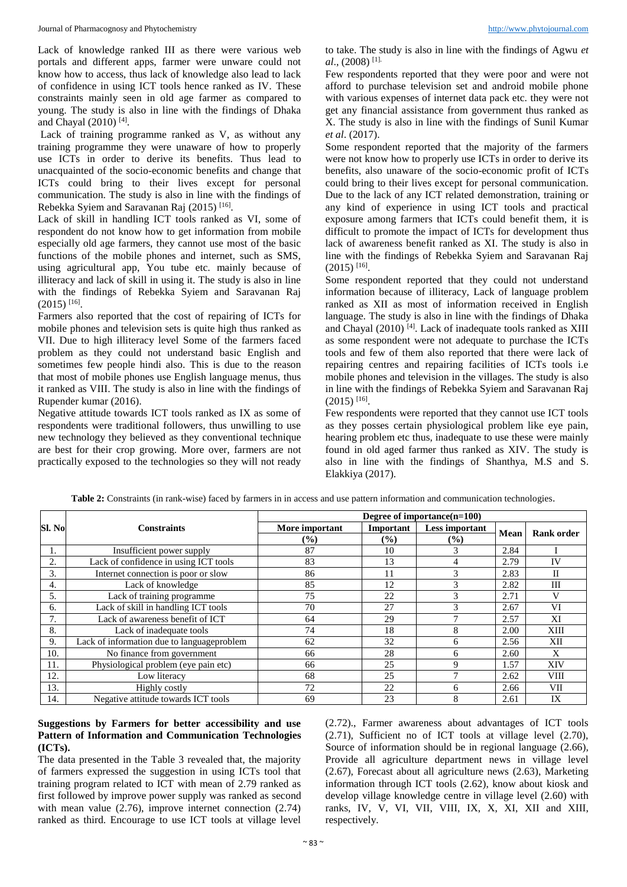Lack of knowledge ranked III as there were various web portals and different apps, farmer were unware could not know how to access, thus lack of knowledge also lead to lack of confidence in using ICT tools hence ranked as IV. These constraints mainly seen in old age farmer as compared to young. The study is also in line with the findings of Dhaka and Chayal (2010)<sup>[4]</sup>.

Lack of training programme ranked as V, as without any training programme they were unaware of how to properly use ICTs in order to derive its benefits. Thus lead to unacquainted of the socio-economic benefits and change that ICTs could bring to their lives except for personal communication. The study is also in line with the findings of Rebekka Syiem and Saravanan Raj (2015)<sup>[16]</sup>.

Lack of skill in handling ICT tools ranked as VI, some of respondent do not know how to get information from mobile especially old age farmers, they cannot use most of the basic functions of the mobile phones and internet, such as SMS, using agricultural app, You tube etc. mainly because of illiteracy and lack of skill in using it. The study is also in line with the findings of Rebekka Syiem and Saravanan Raj  $(2015)$ <sup>[16]</sup>.

Farmers also reported that the cost of repairing of ICTs for mobile phones and television sets is quite high thus ranked as VII. Due to high illiteracy level Some of the farmers faced problem as they could not understand basic English and sometimes few people hindi also. This is due to the reason that most of mobile phones use English language menus, thus it ranked as VIII. The study is also in line with the findings of Rupender kumar (2016).

Negative attitude towards ICT tools ranked as IX as some of respondents were traditional followers, thus unwilling to use new technology they believed as they conventional technique are best for their crop growing. More over, farmers are not practically exposed to the technologies so they will not ready

to take. The study is also in line with the findings of Agwu *et al*., (2008) [1].

Few respondents reported that they were poor and were not afford to purchase television set and android mobile phone with various expenses of internet data pack etc. they were not get any financial assistance from government thus ranked as X. The study is also in line with the findings of Sunil Kumar *et al*. (2017).

Some respondent reported that the majority of the farmers were not know how to properly use ICTs in order to derive its benefits, also unaware of the socio-economic profit of ICTs could bring to their lives except for personal communication. Due to the lack of any ICT related demonstration, training or any kind of experience in using ICT tools and practical exposure among farmers that ICTs could benefit them, it is difficult to promote the impact of ICTs for development thus lack of awareness benefit ranked as XI. The study is also in line with the findings of Rebekka Syiem and Saravanan Raj  $(2015)$ <sup>[16]</sup>.

Some respondent reported that they could not understand information because of illiteracy, Lack of language problem ranked as XII as most of information received in English language. The study is also in line with the findings of Dhaka and Chayal (2010)<sup>[4]</sup>. Lack of inadequate tools ranked as XIII as some respondent were not adequate to purchase the ICTs tools and few of them also reported that there were lack of repairing centres and repairing facilities of ICTs tools i.e mobile phones and television in the villages. The study is also in line with the findings of Rebekka Syiem and Saravanan Raj  $(2015)$ <sup>[16]</sup>.

Few respondents were reported that they cannot use ICT tools as they posses certain physiological problem like eye pain, hearing problem etc thus, inadequate to use these were mainly found in old aged farmer thus ranked as XIV. The study is also in line with the findings of Shanthya, M.S and S. Elakkiya (2017).

|        | <b>Constraints</b>                          | Degree of importance(n=100) |        |                |      |                   |  |
|--------|---------------------------------------------|-----------------------------|--------|----------------|------|-------------------|--|
| Sl. No |                                             | More important<br>Important |        | Less important |      | <b>Rank order</b> |  |
|        |                                             | $\frac{9}{6}$               | $(\%)$ | (%)            | Mean |                   |  |
|        | Insufficient power supply                   | 87                          | 10     |                | 2.84 |                   |  |
| 2.     | Lack of confidence in using ICT tools       | 83                          | 13     |                | 2.79 | <b>IV</b>         |  |
| 3.     | Internet connection is poor or slow         | 86                          | 11     | 3              | 2.83 | $\mathbf{I}$      |  |
| 4.     | Lack of knowledge                           | 85                          | 12     |                | 2.82 | Ш                 |  |
| 5.     | Lack of training programme                  | 75                          | 22     |                | 2.71 | V                 |  |
| 6.     | Lack of skill in handling ICT tools         | 70                          | 27     |                | 2.67 | VI                |  |
| 7.     | Lack of awareness benefit of ICT            | 64                          | 29     |                | 2.57 | XI                |  |
| 8.     | Lack of inadequate tools                    | 74                          | 18     |                | 2.00 | XIII              |  |
| 9.     | Lack of information due to language problem | 62                          | 32     | 6              | 2.56 | XII               |  |
| 10.    | No finance from government                  | 66                          | 28     | 6              | 2.60 | X                 |  |
| 11.    | Physiological problem (eye pain etc)        | 66                          | 25     | Q              | 1.57 | XIV               |  |
| 12.    | Low literacy                                | 68                          | 25     |                | 2.62 | <b>VIII</b>       |  |
| 13.    | Highly costly                               | 72                          | 22     | 6              | 2.66 | VII               |  |
| 14.    | Negative attitude towards ICT tools         | 69                          | 23     |                | 2.61 | IX                |  |

**Table 2:** Constraints (in rank-wise) faced by farmers in in access and use pattern information and communication technologies.

## **Suggestions by Farmers for better accessibility and use Pattern of Information and Communication Technologies (ICTs).**

The data presented in the Table 3 revealed that, the majority of farmers expressed the suggestion in using ICTs tool that training program related to ICT with mean of 2.79 ranked as first followed by improve power supply was ranked as second with mean value (2.76), improve internet connection (2.74) ranked as third. Encourage to use ICT tools at village level

(2.72)., Farmer awareness about advantages of ICT tools (2.71), Sufficient no of ICT tools at village level (2.70), Source of information should be in regional language (2.66), Provide all agriculture department news in village level (2.67), Forecast about all agriculture news (2.63), Marketing information through ICT tools (2.62), know about kiosk and develop village knowledge centre in village level (2.60) with ranks, IV, V, VI, VII, VIII, IX, X, XI, XII and XIII, respectively.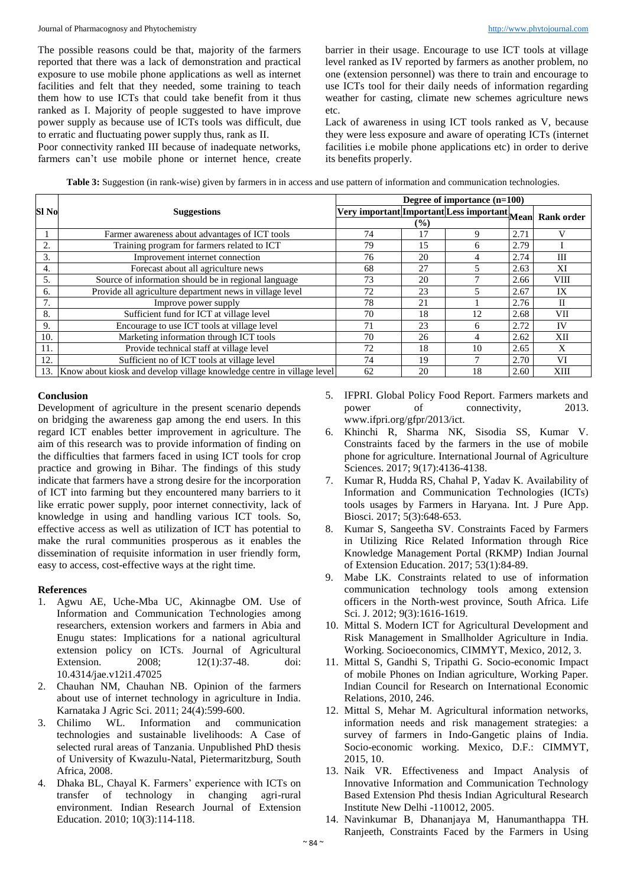The possible reasons could be that, majority of the farmers reported that there was a lack of demonstration and practical exposure to use mobile phone applications as well as internet facilities and felt that they needed, some training to teach them how to use ICTs that could take benefit from it thus ranked as I. Majority of people suggested to have improve power supply as because use of ICTs tools was difficult, due to erratic and fluctuating power supply thus, rank as II.

Poor connectivity ranked III because of inadequate networks, farmers can't use mobile phone or internet hence, create barrier in their usage. Encourage to use ICT tools at village level ranked as IV reported by farmers as another problem, no one (extension personnel) was there to train and encourage to use ICTs tool for their daily needs of information regarding weather for casting, climate new schemes agriculture news etc.

Lack of awareness in using ICT tools ranked as V, because they were less exposure and aware of operating ICTs (internet facilities i.e mobile phone applications etc) in order to derive its benefits properly.

**Table 3:** Suggestion (in rank-wise) given by farmers in in access and use pattern of information and communication technologies.

|                  | <b>Suggestions</b>                                                     | Degree of importance $(n=100)$                                |    |    |      |                   |  |
|------------------|------------------------------------------------------------------------|---------------------------------------------------------------|----|----|------|-------------------|--|
| Sl <sub>No</sub> |                                                                        |                                                               |    |    |      | <b>Rank order</b> |  |
|                  |                                                                        | Very important Important Less important Mean<br>$\frac{9}{6}$ |    |    |      |                   |  |
|                  | Farmer awareness about advantages of ICT tools                         | 74                                                            | 17 |    | 2.71 |                   |  |
| 2.               | Training program for farmers related to ICT                            | 79                                                            | 15 | 6  | 2.79 |                   |  |
| 3.               | Improvement internet connection                                        | 76                                                            | 20 | 4  | 2.74 | Ш                 |  |
| 4.               | Forecast about all agriculture news                                    | 68                                                            | 27 |    | 2.63 | XI                |  |
| 5.               | Source of information should be in regional language                   | 73                                                            | 20 |    | 2.66 | VIII              |  |
| 6.               | Provide all agriculture department news in village level               | 72                                                            | 23 |    | 2.67 | IX                |  |
|                  | Improve power supply                                                   | 78                                                            | 21 |    | 2.76 | $_{\rm II}$       |  |
| 8.               | Sufficient fund for ICT at village level                               | 70                                                            | 18 | 12 | 2.68 | VII               |  |
| 9.               | Encourage to use ICT tools at village level                            | 71                                                            | 23 | 6  | 2.72 | IV                |  |
| 10.              | Marketing information through ICT tools                                | 70                                                            | 26 | 4  | 2.62 | XII               |  |
| 11.              | Provide technical staff at village level                               | 72                                                            | 18 | 10 | 2.65 | X                 |  |
| 12.              | Sufficient no of ICT tools at village level                            | 74                                                            | 19 |    | 2.70 | VI                |  |
| 13.              | Know about kiosk and develop village knowledge centre in village level | 62                                                            | 20 | 18 | 2.60 | XIII              |  |

## **Conclusion**

Development of agriculture in the present scenario depends on bridging the awareness gap among the end users. In this regard ICT enables better improvement in agriculture. The aim of this research was to provide information of finding on the difficulties that farmers faced in using ICT tools for crop practice and growing in Bihar. The findings of this study indicate that farmers have a strong desire for the incorporation of ICT into farming but they encountered many barriers to it like erratic power supply, poor internet connectivity, lack of knowledge in using and handling various ICT tools. So, effective access as well as utilization of ICT has potential to make the rural communities prosperous as it enables the dissemination of requisite information in user friendly form, easy to access, cost-effective ways at the right time.

## **References**

- 1. Agwu AE, Uche-Mba UC, Akinnagbe OM. Use of Information and Communication Technologies among researchers, extension workers and farmers in Abia and Enugu states: Implications for a national agricultural extension policy on ICTs. Journal of Agricultural Extension. 2008; 12(1):37-48. doi: 10.4314/jae.v12i1.47025
- 2. Chauhan NM, Chauhan NB. Opinion of the farmers about use of internet technology in agriculture in India. Karnataka J Agric Sci. 2011; 24(4):599-600.
- 3. Chilimo WL. Information and communication technologies and sustainable livelihoods: A Case of selected rural areas of Tanzania. Unpublished PhD thesis of University of Kwazulu-Natal, Pietermaritzburg, South Africa, 2008.
- 4. Dhaka BL, Chayal K. Farmers' experience with ICTs on transfer of technology in changing agri-rural environment. Indian Research Journal of Extension Education. 2010; 10(3):114-118.
- 5. IFPRI. Global Policy Food Report. Farmers markets and power of connectivity, 2013. www.ifpri.org/gfpr/2013/ict.
- 6. Khinchi R, Sharma NK, Sisodia SS, Kumar V. Constraints faced by the farmers in the use of mobile phone for agriculture. International Journal of Agriculture Sciences. 2017; 9(17):4136-4138.
- 7. Kumar R, Hudda RS, Chahal P, Yadav K. Availability of Information and Communication Technologies (ICTs) tools usages by Farmers in Haryana. Int. J Pure App. Biosci. 2017; 5(3):648-653.
- 8. Kumar S, Sangeetha SV. Constraints Faced by Farmers in Utilizing Rice Related Information through Rice Knowledge Management Portal (RKMP) Indian Journal of Extension Education. 2017; 53(1):84-89.
- 9. Mabe LK. Constraints related to use of information communication technology tools among extension officers in the North-west province, South Africa. Life Sci. J. 2012; 9(3):1616-1619.
- 10. Mittal S. Modern ICT for Agricultural Development and Risk Management in Smallholder Agriculture in India. Working. Socioeconomics, CIMMYT, Mexico, 2012, 3.
- 11. Mittal S, Gandhi S, Tripathi G. Socio-economic Impact of mobile Phones on Indian agriculture, Working Paper. Indian Council for Research on International Economic Relations, 2010, 246.
- 12. Mittal S, Mehar M. Agricultural information networks, information needs and risk management strategies: a survey of farmers in Indo-Gangetic plains of India. Socio-economic working. Mexico, D.F.: CIMMYT, 2015, 10.
- 13. Naik VR. Effectiveness and Impact Analysis of Innovative Information and Communication Technology Based Extension Phd thesis Indian Agricultural Research Institute New Delhi -110012, 2005.
- 14. Navinkumar B, Dhananjaya M, Hanumanthappa TH. Ranjeeth, Constraints Faced by the Farmers in Using